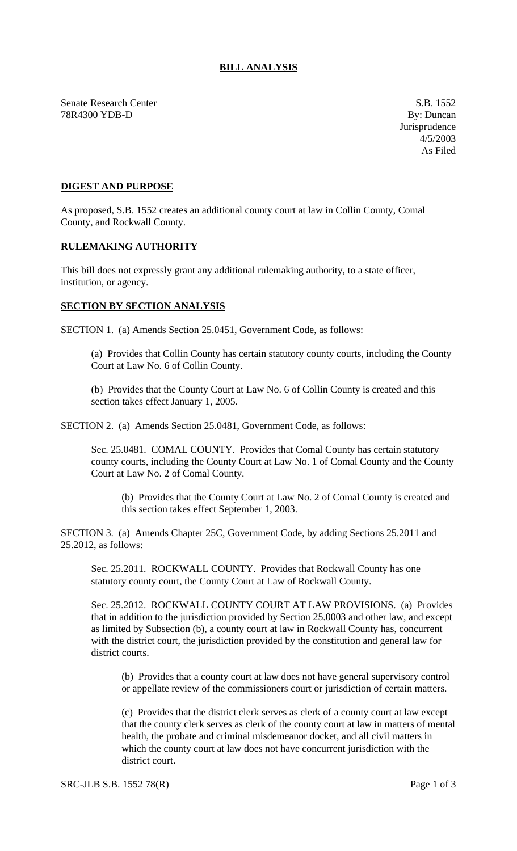## **BILL ANALYSIS**

Senate Research Center S.B. 1552 78R4300 YDB-D By: Duncan

Jurisprudence 4/5/2003 As Filed

## **DIGEST AND PURPOSE**

As proposed, S.B. 1552 creates an additional county court at law in Collin County, Comal County, and Rockwall County.

## **RULEMAKING AUTHORITY**

This bill does not expressly grant any additional rulemaking authority, to a state officer, institution, or agency.

## **SECTION BY SECTION ANALYSIS**

SECTION 1. (a) Amends Section 25.0451, Government Code, as follows:

(a) Provides that Collin County has certain statutory county courts, including the County Court at Law No. 6 of Collin County.

(b) Provides that the County Court at Law No. 6 of Collin County is created and this section takes effect January 1, 2005.

SECTION 2. (a) Amends Section 25.0481, Government Code, as follows:

Sec. 25.0481. COMAL COUNTY. Provides that Comal County has certain statutory county courts, including the County Court at Law No. 1 of Comal County and the County Court at Law No. 2 of Comal County.

(b) Provides that the County Court at Law No. 2 of Comal County is created and this section takes effect September 1, 2003.

SECTION 3. (a) Amends Chapter 25C, Government Code, by adding Sections 25.2011 and 25.2012, as follows:

Sec. 25.2011. ROCKWALL COUNTY. Provides that Rockwall County has one statutory county court, the County Court at Law of Rockwall County.

Sec. 25.2012. ROCKWALL COUNTY COURT AT LAW PROVISIONS. (a) Provides that in addition to the jurisdiction provided by Section 25.0003 and other law, and except as limited by Subsection (b), a county court at law in Rockwall County has, concurrent with the district court, the jurisdiction provided by the constitution and general law for district courts.

(b) Provides that a county court at law does not have general supervisory control or appellate review of the commissioners court or jurisdiction of certain matters.

(c) Provides that the district clerk serves as clerk of a county court at law except that the county clerk serves as clerk of the county court at law in matters of mental health, the probate and criminal misdemeanor docket, and all civil matters in which the county court at law does not have concurrent jurisdiction with the district court.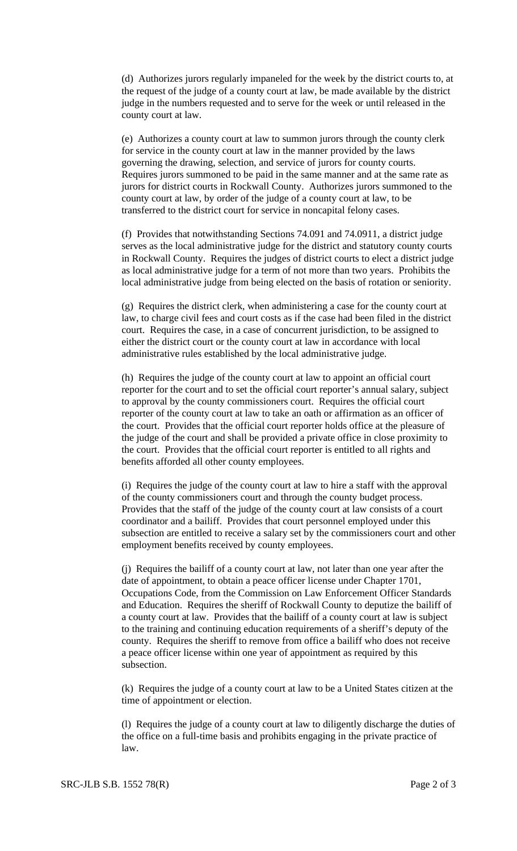(d) Authorizes jurors regularly impaneled for the week by the district courts to, at the request of the judge of a county court at law, be made available by the district judge in the numbers requested and to serve for the week or until released in the county court at law.

(e) Authorizes a county court at law to summon jurors through the county clerk for service in the county court at law in the manner provided by the laws governing the drawing, selection, and service of jurors for county courts. Requires jurors summoned to be paid in the same manner and at the same rate as jurors for district courts in Rockwall County. Authorizes jurors summoned to the county court at law, by order of the judge of a county court at law, to be transferred to the district court for service in noncapital felony cases.

(f) Provides that notwithstanding Sections 74.091 and 74.0911, a district judge serves as the local administrative judge for the district and statutory county courts in Rockwall County. Requires the judges of district courts to elect a district judge as local administrative judge for a term of not more than two years. Prohibits the local administrative judge from being elected on the basis of rotation or seniority.

(g) Requires the district clerk, when administering a case for the county court at law, to charge civil fees and court costs as if the case had been filed in the district court. Requires the case, in a case of concurrent jurisdiction, to be assigned to either the district court or the county court at law in accordance with local administrative rules established by the local administrative judge.

(h) Requires the judge of the county court at law to appoint an official court reporter for the court and to set the official court reporter's annual salary, subject to approval by the county commissioners court. Requires the official court reporter of the county court at law to take an oath or affirmation as an officer of the court. Provides that the official court reporter holds office at the pleasure of the judge of the court and shall be provided a private office in close proximity to the court. Provides that the official court reporter is entitled to all rights and benefits afforded all other county employees.

(i) Requires the judge of the county court at law to hire a staff with the approval of the county commissioners court and through the county budget process. Provides that the staff of the judge of the county court at law consists of a court coordinator and a bailiff. Provides that court personnel employed under this subsection are entitled to receive a salary set by the commissioners court and other employment benefits received by county employees.

(j) Requires the bailiff of a county court at law, not later than one year after the date of appointment, to obtain a peace officer license under Chapter 1701, Occupations Code, from the Commission on Law Enforcement Officer Standards and Education. Requires the sheriff of Rockwall County to deputize the bailiff of a county court at law. Provides that the bailiff of a county court at law is subject to the training and continuing education requirements of a sheriff's deputy of the county. Requires the sheriff to remove from office a bailiff who does not receive a peace officer license within one year of appointment as required by this subsection.

(k) Requires the judge of a county court at law to be a United States citizen at the time of appointment or election.

(l) Requires the judge of a county court at law to diligently discharge the duties of the office on a full-time basis and prohibits engaging in the private practice of law.